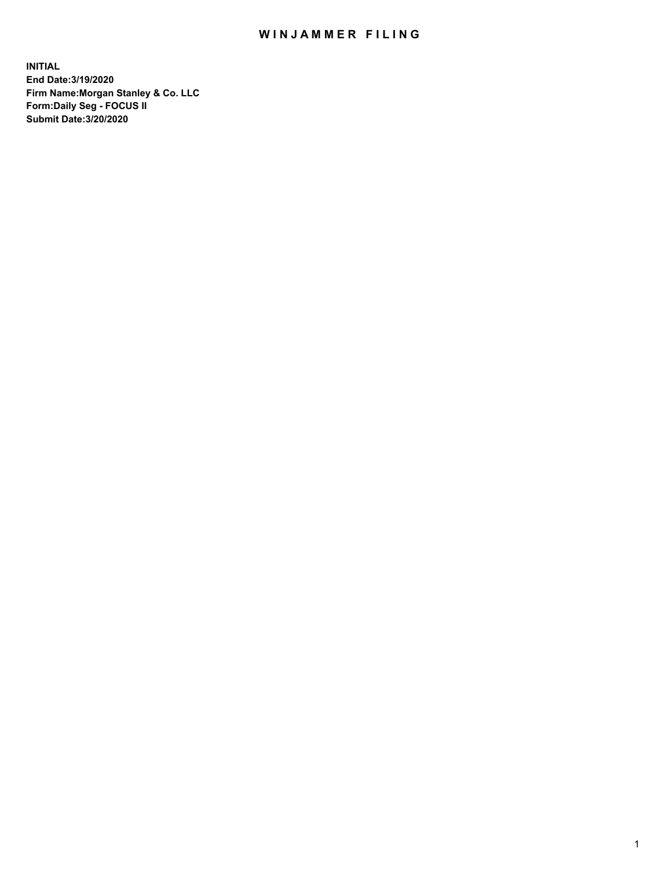## WIN JAMMER FILING

**INITIAL End Date:3/19/2020 Firm Name:Morgan Stanley & Co. LLC Form:Daily Seg - FOCUS II Submit Date:3/20/2020**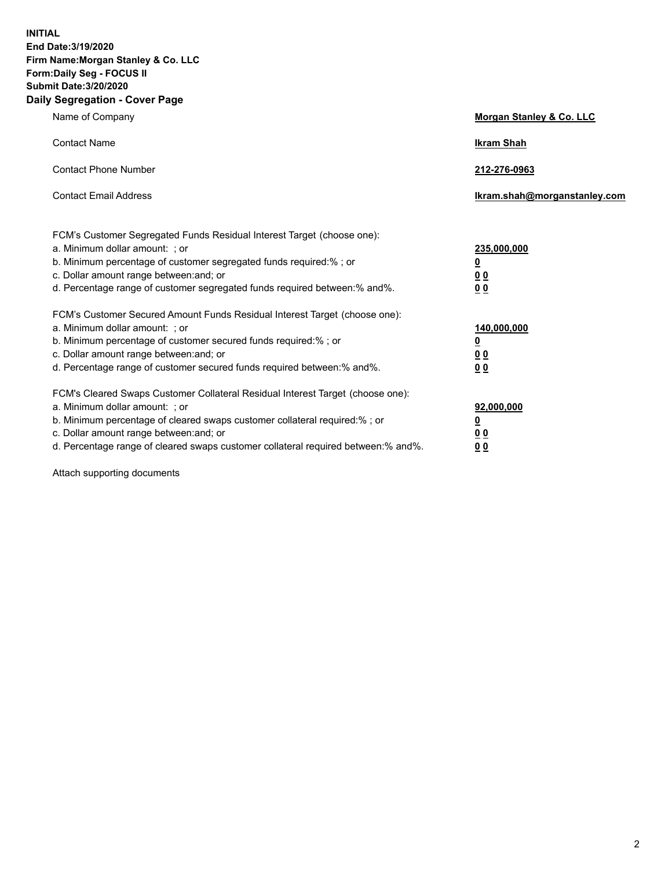**INITIAL End Date:3/19/2020 Firm Name:Morgan Stanley & Co. LLC Form:Daily Seg - FOCUS II Submit Date:3/20/2020 Daily Segregation - Cover Page**

| Name of Company                                                                                                                                                                                                                                                                                                                | Morgan Stanley & Co. LLC                                |
|--------------------------------------------------------------------------------------------------------------------------------------------------------------------------------------------------------------------------------------------------------------------------------------------------------------------------------|---------------------------------------------------------|
| <b>Contact Name</b>                                                                                                                                                                                                                                                                                                            | <b>Ikram Shah</b>                                       |
| <b>Contact Phone Number</b>                                                                                                                                                                                                                                                                                                    | 212-276-0963                                            |
| <b>Contact Email Address</b>                                                                                                                                                                                                                                                                                                   | Ikram.shah@morganstanley.com                            |
| FCM's Customer Segregated Funds Residual Interest Target (choose one):<br>a. Minimum dollar amount: ; or<br>b. Minimum percentage of customer segregated funds required:% ; or<br>c. Dollar amount range between: and; or<br>d. Percentage range of customer segregated funds required between:% and%.                         | 235,000,000<br><u>0</u><br><u>00</u><br><u>00</u>       |
| FCM's Customer Secured Amount Funds Residual Interest Target (choose one):<br>a. Minimum dollar amount: ; or<br>b. Minimum percentage of customer secured funds required:%; or<br>c. Dollar amount range between: and; or<br>d. Percentage range of customer secured funds required between:% and%.                            | 140,000,000<br><u>0</u><br><u>0 0</u><br>0 <sub>0</sub> |
| FCM's Cleared Swaps Customer Collateral Residual Interest Target (choose one):<br>a. Minimum dollar amount: ; or<br>b. Minimum percentage of cleared swaps customer collateral required:% ; or<br>c. Dollar amount range between: and; or<br>d. Percentage range of cleared swaps customer collateral required between:% and%. | 92,000,000<br><u>0</u><br><u>00</u><br>00               |

Attach supporting documents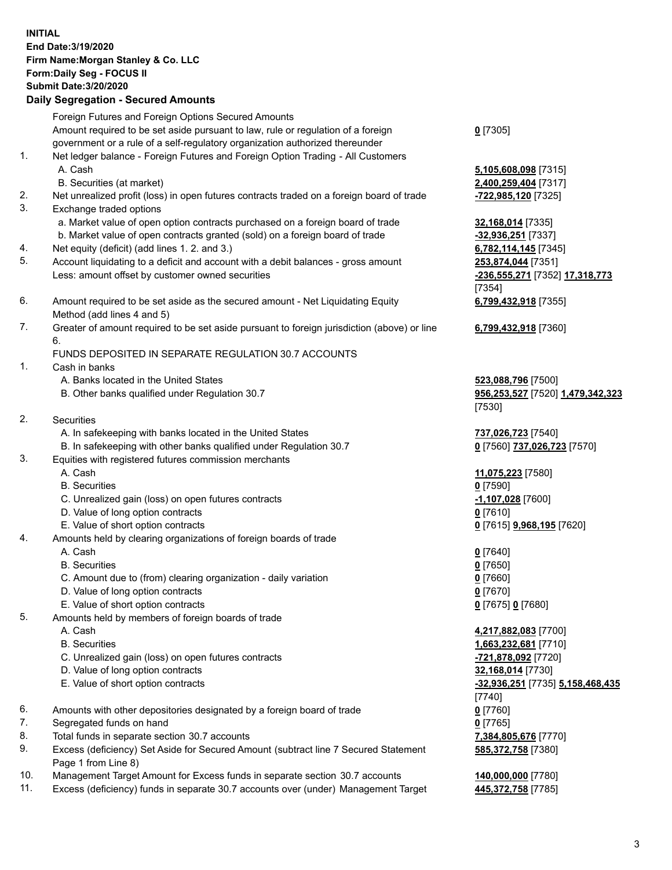## **INITIAL End Date:3/19/2020 Firm Name:Morgan Stanley & Co. LLC Form:Daily Seg - FOCUS II Submit Date:3/20/2020 Daily Segregation - Secured Amounts** Foreign Futures and Foreign Options Secured Amounts Amount required to be set aside pursuant to law, rule or regulation of a foreign government or a rule of a self-regulatory organization authorized thereunder **0** [7305] 1. Net ledger balance - Foreign Futures and Foreign Option Trading - All Customers A. Cash **5,105,608,098** [7315] B. Securities (at market) **2,400,259,404** [7317] 2. Net unrealized profit (loss) in open futures contracts traded on a foreign board of trade **-722,985,120** [7325] 3. Exchange traded options a. Market value of open option contracts purchased on a foreign board of trade **32,168,014** [7335] b. Market value of open contracts granted (sold) on a foreign board of trade **-32,936,251** [7337] 4. Net equity (deficit) (add lines 1. 2. and 3.) **6,782,114,145** [7345] 5. Account liquidating to a deficit and account with a debit balances - gross amount **253,874,044** [7351] Less: amount offset by customer owned securities **-236,555,271** [7352] **17,318,773** [7354] 6. Amount required to be set aside as the secured amount - Net Liquidating Equity Method (add lines 4 and 5) **6,799,432,918** [7355] 7. Greater of amount required to be set aside pursuant to foreign jurisdiction (above) or line 6. **6,799,432,918** [7360] FUNDS DEPOSITED IN SEPARATE REGULATION 30.7 ACCOUNTS 1. Cash in banks A. Banks located in the United States **523,088,796** [7500] B. Other banks qualified under Regulation 30.7 **956,253,527** [7520] **1,479,342,323** [7530] 2. Securities A. In safekeeping with banks located in the United States **737,026,723** [7540] B. In safekeeping with other banks qualified under Regulation 30.7 **0** [7560] **737,026,723** [7570] 3. Equities with registered futures commission merchants A. Cash **11,075,223** [7580] B. Securities **0** [7590] C. Unrealized gain (loss) on open futures contracts **-1,107,028** [7600] D. Value of long option contracts **0** [7610] E. Value of short option contracts **0** [7615] **9,968,195** [7620] 4. Amounts held by clearing organizations of foreign boards of trade A. Cash **0** [7640] B. Securities **0** [7650] C. Amount due to (from) clearing organization - daily variation **0** [7660] D. Value of long option contracts **0** [7670] E. Value of short option contracts **0** [7675] **0** [7680] 5. Amounts held by members of foreign boards of trade A. Cash **4,217,882,083** [7700] B. Securities **1,663,232,681** [7710] C. Unrealized gain (loss) on open futures contracts **-721,878,092** [7720] D. Value of long option contracts **32,168,014** [7730] E. Value of short option contracts **-32,936,251** [7735] **5,158,468,435** [7740] 6. Amounts with other depositories designated by a foreign board of trade **0** [7760] 7. Segregated funds on hand **0** [7765] 8. Total funds in separate section 30.7 accounts **7,384,805,676** [7770] 9. Excess (deficiency) Set Aside for Secured Amount (subtract line 7 Secured Statement Page 1 from Line 8) **585,372,758** [7380]

- 10. Management Target Amount for Excess funds in separate section 30.7 accounts **140,000,000** [7780]
- 11. Excess (deficiency) funds in separate 30.7 accounts over (under) Management Target **445,372,758** [7785]

3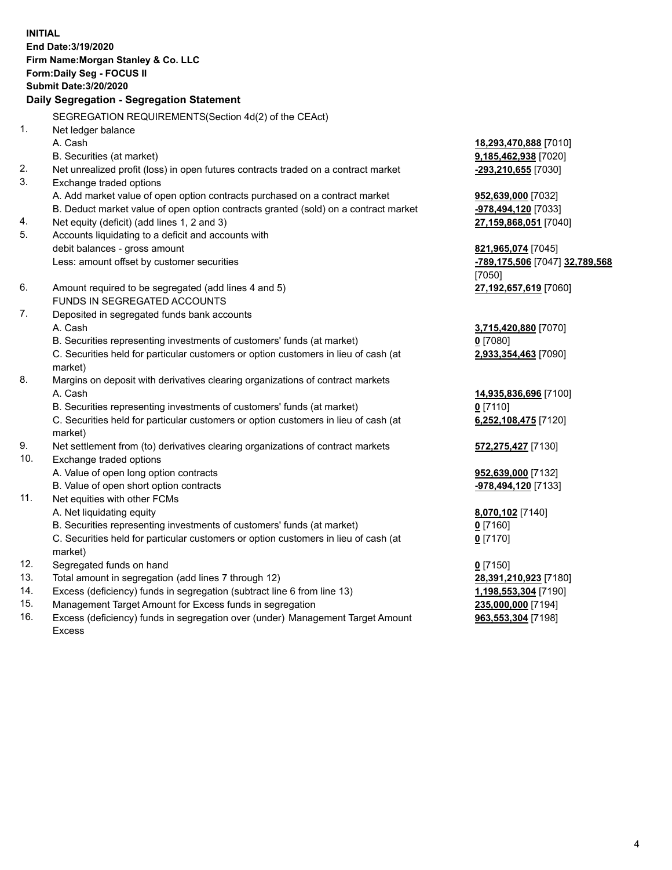**INITIAL End Date:3/19/2020 Firm Name:Morgan Stanley & Co. LLC Form:Daily Seg - FOCUS II Submit Date:3/20/2020 Daily Segregation - Segregation Statement** SEGREGATION REQUIREMENTS(Section 4d(2) of the CEAct) 1. Net ledger balance A. Cash **18,293,470,888** [7010] B. Securities (at market) **9,185,462,938** [7020] 2. Net unrealized profit (loss) in open futures contracts traded on a contract market **-293,210,655** [7030] 3. Exchange traded options A. Add market value of open option contracts purchased on a contract market **952,639,000** [7032] B. Deduct market value of open option contracts granted (sold) on a contract market **-978,494,120** [7033] 4. Net equity (deficit) (add lines 1, 2 and 3) **27,159,868,051** [7040] 5. Accounts liquidating to a deficit and accounts with debit balances - gross amount **821,965,074** [7045] Less: amount offset by customer securities **-789,175,506** [7047] **32,789,568** [7050] 6. Amount required to be segregated (add lines 4 and 5) **27,192,657,619** [7060] FUNDS IN SEGREGATED ACCOUNTS 7. Deposited in segregated funds bank accounts A. Cash **3,715,420,880** [7070] B. Securities representing investments of customers' funds (at market) **0** [7080] C. Securities held for particular customers or option customers in lieu of cash (at market) **2,933,354,463** [7090] 8. Margins on deposit with derivatives clearing organizations of contract markets A. Cash **14,935,836,696** [7100] B. Securities representing investments of customers' funds (at market) **0** [7110] C. Securities held for particular customers or option customers in lieu of cash (at market) **6,252,108,475** [7120] 9. Net settlement from (to) derivatives clearing organizations of contract markets **572,275,427** [7130] 10. Exchange traded options A. Value of open long option contracts **952,639,000** [7132] B. Value of open short option contracts **-978,494,120** [7133] 11. Net equities with other FCMs A. Net liquidating equity **8,070,102** [7140] B. Securities representing investments of customers' funds (at market) **0** [7160] C. Securities held for particular customers or option customers in lieu of cash (at market) **0** [7170] 12. Segregated funds on hand **0** [7150] 13. Total amount in segregation (add lines 7 through 12) **28,391,210,923** [7180] 14. Excess (deficiency) funds in segregation (subtract line 6 from line 13) **1,198,553,304** [7190] 15. Management Target Amount for Excess funds in segregation **235,000,000** [7194]

16. Excess (deficiency) funds in segregation over (under) Management Target Amount Excess

**963,553,304** [7198]